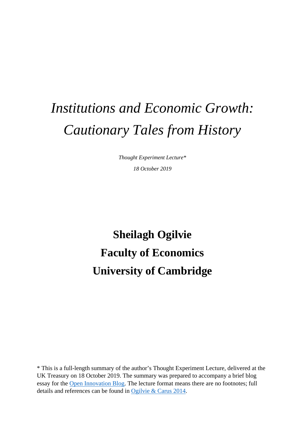# *Institutions and Economic Growth: Cautionary Tales from History*

*Thought Experiment Lecture\**

*18 October 2019*

## **Sheilagh Ogilvie Faculty of Economics University of Cambridge**

\* This is a full-length summary of the author's Thought Experiment Lecture, delivered at the UK Treasury on 18 October 2019. The summary was prepared to accompany a brief blog essay for the [Open Innovation Blog.](https://openinnovation.blog.gov.uk/) The lecture format means there are no footnotes; full details and references can be found in [Ogilvie & Carus 2014.](http://www.econ.cam.ac.uk/people-files/faculty/sco2/full-texts/Ogilvie-Carus-2014-Handbook%20of%20Economic%20Growth.pdf)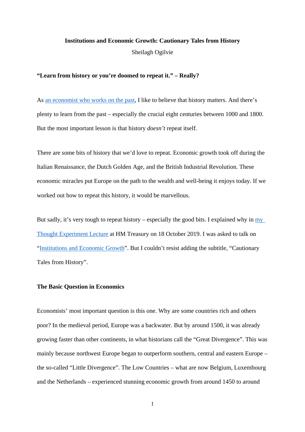### **Institutions and Economic Growth: Cautionary Tales from History** Sheilagh Ogilvie

#### **"Learn from history or you're doomed to repeat it." – Really?**

As [an economist who works on the past,](http://www.econ.cam.ac.uk/people/faculty/sco2) I like to believe that history matters. And there's plenty to learn from the past – especially the crucial eight centuries between 1000 and 1800. But the most important lesson is that history *doesn't* repeat itself.

There are some bits of history that we'd love to repeat. Economic growth took off during the Italian Renaissance, the Dutch Golden Age, and the British Industrial Revolution. These economic miracles put Europe on the path to the wealth and well-being it enjoys today. If we worked out how to repeat this history, it would be marvellous.

But sadly, it's very tough to repeat history – especially the good bits. I explained why in my [Thought Experiment Lecture](http://www.econ.cam.ac.uk/news/ogilvie-thought-experiment-lecture-videos-october-19-all) at HM Treasury on 18 October 2019. I was asked to talk on ["Institutions and Economic Growth"](http://www.sciencedirect.com/science/article/pii/B9780444535382000083). But I couldn't resist adding the subtitle, "Cautionary Tales from History".

#### **The Basic Question in Economics**

Economists' most important question is this one. Why are some countries rich and others poor? In the medieval period, Europe was a backwater. But by around 1500, it was already growing faster than other continents, in what historians call the "Great Divergence". This was mainly because northwest Europe began to outperform southern, central and eastern Europe – the so-called "Little Divergence". The Low Countries – what are now Belgium, Luxembourg and the Netherlands – experienced stunning economic growth from around 1450 to around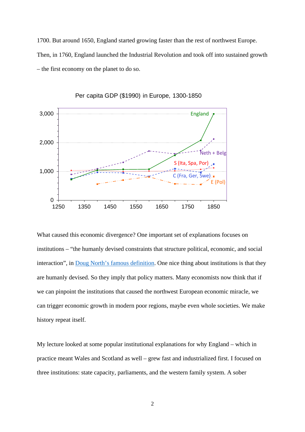1700. But around 1650, England started growing faster than the rest of northwest Europe. Then, in 1760, England launched the Industrial Revolution and took off into sustained growth – the first economy on the planet to do so.



Per capita GDP (\$1990) in Europe, 1300-1850

What caused this economic divergence? One important set of explanations focuses on institutions – "the humanly devised constraints that structure political, economic, and social interaction", in [Doug North's famous definition.](https://www.aeaweb.org/articles?id=10.1257/jep.5.1.97) One nice thing about institutions is that they are humanly devised. So they imply that policy matters. Many economists now think that if we can pinpoint the institutions that caused the northwest European economic miracle, we can trigger economic growth in modern poor regions, maybe even whole societies. We make history repeat itself.

My lecture looked at some popular institutional explanations for why England – which in practice meant Wales and Scotland as well – grew fast and industrialized first. I focused on three institutions: state capacity, parliaments, and the western family system. A sober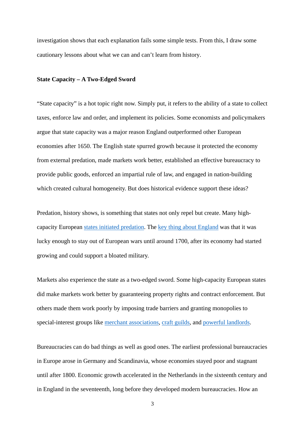investigation shows that each explanation fails some simple tests. From this, I draw some cautionary lessons about what we can and can't learn from history.

#### **State Capacity – A Two-Edged Sword**

"State capacity" is a hot topic right now. Simply put, it refers to the ability of a state to collect taxes, enforce law and order, and implement its policies. Some economists and policymakers argue that state capacity was a major reason England outperformed other European economies after 1650. The English state spurred growth because it protected the economy from external predation, made markets work better, established an effective bureaucracy to provide public goods, enforced an impartial rule of law, and engaged in nation-building which created cultural homogeneity. But does historical evidence support these ideas?

Predation, history shows, is something that states not only repel but create. Many highcapacity European states initiated predation. The [key thing about England](https://www.hup.harvard.edu/catalog.php?isbn=9780674809307) was that it was lucky enough to stay out of European wars until around 1700, after its economy had started growing and could support a bloated military.

Markets also experience the state as a two-edged sword. Some high-capacity European states did make markets work better by guaranteeing property rights and contract enforcement. But others made them work poorly by imposing trade barriers and granting monopolies to special-interest groups like [merchant associations,](http://www.amazon.com/Institutions-European-Trade-1000-1800-Cambridge/dp/0521747929/ref=la_B004HQXNRK_1_1?s=books&ie=UTF8&qid=1412531594&sr=1-1) craft guilds, and [powerful landlords.](http://www.econ.cam.ac.uk/people-files/faculty/sco2/full-texts/Ogilvie-2014-Serfdom%20in%20Germany.pdf)

Bureaucracies can do bad things as well as good ones. The earliest professional bureaucracies in Europe arose in Germany and Scandinavia, whose economies stayed poor and stagnant until after 1800. Economic growth accelerated in the Netherlands in the sixteenth century and in England in the seventeenth, long before they developed modern bureaucracies. How an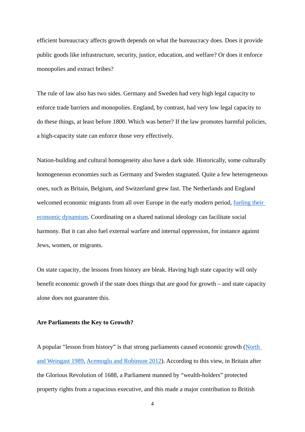efficient bureaucracy affects growth depends on what the bureaucracy does. Does it provide public goods like infrastructure, security, justice, education, and welfare? Or does it enforce monopolies and extract bribes?

The rule of law also has two sides. Germany and Sweden had very high legal capacity to enforce trade barriers and monopolies. England, by contrast, had very low legal capacity to do these things, at least before 1800. Which was better? If the law promotes harmful policies, a high-capacity state can enforce those very effectively.

Nation-building and cultural homogeneity also have a dark side. Historically, some culturally homogeneous economies such as Germany and Sweden stagnated. Quite a few heterogeneous ones, such as Britain, Belgium, and Switzerland grew fast. The Netherlands and England welcomed economic migrants from all over Europe in the early modern period, [fueling](https://onlinelibrary.wiley.com/doi/abs/10.1111/j.1468-0289.2010.00547.x) their [economic dynamism.](https://onlinelibrary.wiley.com/doi/abs/10.1111/j.1468-0289.2010.00547.x) Coordinating on a shared national ideology can facilitate social harmony. But it can also fuel external warfare and internal oppression, for instance against Jews, women, or migrants.

On state capacity, the lessons from history are bleak. Having high state capacity will only benefit economic growth if the state does things that are good for growth – and state capacity alone does not guarantee this.

#### **Are Parliaments the Key to Growth?**

A popular "lesson from history" is that strong parliaments caused economic growth [\(North](https://www.cambridge.org/core/journals/journal-of-economic-history/article/constitutions-and-commitment-the-evolution-of-institutions-governing-public-choice-in-seventeenthcentury-england/2E0D2B2D3490BE5C556D836ACB096362) [and Weingast 1989,](https://www.cambridge.org/core/journals/journal-of-economic-history/article/constitutions-and-commitment-the-evolution-of-institutions-governing-public-choice-in-seventeenthcentury-england/2E0D2B2D3490BE5C556D836ACB096362) Acemoglu [and Robinson 2012\)](https://www.penguinrandomhouse.com/books/205014/why-nations-fail-by-daron-acemoglu-and-james-a-robinson/). According to this view, in Britain after the Glorious Revolution of 1688, a Parliament manned by "wealth-holders" protected property rights from a rapacious executive, and this made a major contribution to British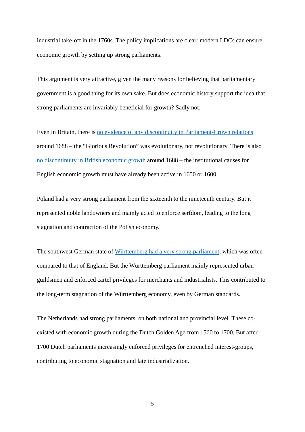industrial take-off in the 1760s. The policy implications are clear: modern LDCs can ensure economic growth by setting up strong parliaments.

This argument is very attractive, given the many reasons for believing that parliamentary government is a good thing for its own sake. But does economic history support the idea that strong parliaments are invariably beneficial for growth? Sadly not.

Even in Britain, there is [no evidence of any discontinuity](http://refhub.elsevier.com/B978-0-444-53538-2.00008-3/h1320) in Parliament-Crown relations around 1688 – the "Glorious Revolution" was evolutionary, not revolutionary. There is also [no discontinuity in British economic growth](https://www.sciencedirect.com/science/article/pii/S0147596716300543) around 1688 – the institutional causes for English economic growth must have already been active in 1650 or 1600.

Poland had a very strong parliament from the sixteenth to the nineteenth century. But it represented noble landowners and mainly acted to enforce serfdom, leading to the long stagnation and contraction of the Polish economy.

The southwest German state of [Württemberg had a very strong parliament,](http://www.econ.cam.ac.uk/people-files/faculty/sco2/full-texts/Ogilvie-1999-The%20state%20in%20Germany.pdf) which was often compared to that of England. But the Württemberg parliament mainly represented urban guildsmen and enforced cartel privileges for merchants and industrialists. This contributed to the long-term stagnation of the Württemberg economy, even by German standards.

The Netherlands had strong parliaments, on both national and provincial level. These coexisted with economic growth during the Dutch Golden Age from 1560 to 1700. But after 1700 Dutch parliaments increasingly enforced privileges for entrenched interest-groups, contributing to economic stagnation and late industrialization.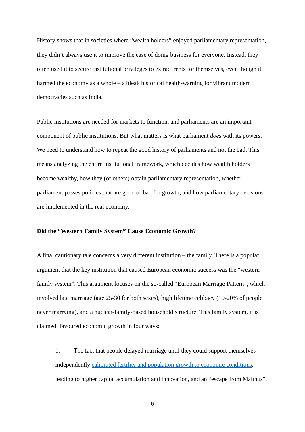History shows that in societies where "wealth holders" enjoyed parliamentary representation, they didn't always use it to improve the ease of doing business for everyone. Instead, they often used it to secure institutional privileges to extract rents for themselves, even though it harmed the economy as a whole – a bleak historical health-warning for vibrant modern democracies such as India.

Public institutions are needed for markets to function, and parliaments are an important component of public institutions. But what matters is what parliament *does* with its powers. We need to understand how to repeat the good history of parliaments and not the bad. This means analyzing the entire institutional framework, which decides how wealth holders become wealthy, how they (or others) obtain parliamentary representation, whether parliament passes policies that are good or bad for growth, and how parliamentary decisions are implemented in the real economy.

#### **Did the "Western Family System" Cause Economic Growth?**

A final cautionary tale concerns a very different institution – the family. There is a popular argument that the key institution that caused European economic success was the "western family system". This argument focuses on the so-called "European Marriage Pattern", which involved late marriage (age 25-30 for both sexes), high lifetime celibacy (10-20% of people never marrying), and a nuclear-family-based household structure. This family system, it is claimed, favoured economic growth in four ways:

1. The fact that people delayed marriage until they could support themselves independently calibrated fertility [and population growth to economic conditions,](https://link.springer.com/article/10.1007/s10887-006-9007-6) leading to higher capital accumulation and innovation, and an "escape from Malthus".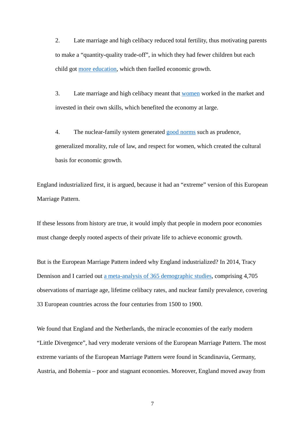2. Late marriage and high celibacy reduced total fertility, thus motivating parents to make a "quantity-quality trade-off", in which they had fewer children but each child got [more education,](https://onlinelibrary.wiley.com/doi/abs/10.1111/ehr.12651) which then fuelled economic growth.

3. Late marriage and high celibacy meant that [women](https://onlinelibrary.wiley.com/doi/10.1111/j.1468-0289.2009.00483.x) worked in the market and invested in their own skills, which benefited the economy at large.

4. The nuclear-family system generated [good norms](https://www.aeaweb.org/articles?id=10.1257/aer.100.2.135) such as prudence, generalized morality, rule of law, and respect for women, which created the cultural basis for economic growth.

England industrialized first, it is argued, because it had an "extreme" version of this European Marriage Pattern.

If these lessons from history are true, it would imply that people in modern poor economies must change deeply rooted aspects of their private life to achieve economic growth.

But is the European Marriage Pattern indeed why England industrialized? In 2014, Tracy Dennison and I carried out [a meta-analysis of 365](https://www.cambridge.org/core/journals/journal-of-economic-history/article/does-the-european-marriage-pattern-explain-economic-growth/6B90AE4652BA0B021897CCF66A9DD52A) demographic studies, comprising 4,705 observations of marriage age, lifetime celibacy rates, and nuclear family prevalence, covering 33 European countries across the four centuries from 1500 to 1900.

We found that England and the Netherlands, the miracle economies of the early modern "Little Divergence", had very moderate versions of the European Marriage Pattern. The most extreme variants of the European Marriage Pattern were found in Scandinavia, Germany, Austria, and Bohemia – poor and stagnant economies. Moreover, England moved away from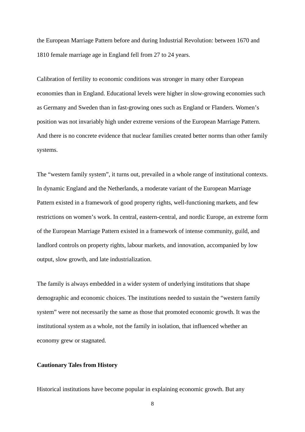the European Marriage Pattern before and during Industrial Revolution: between 1670 and 1810 female marriage age in England fell from 27 to 24 years.

Calibration of fertility to economic conditions was stronger in many other European economies than in England. Educational levels were higher in slow-growing economies such as Germany and Sweden than in fast-growing ones such as England or Flanders. Women's position was not invariably high under extreme versions of the European Marriage Pattern. And there is no concrete evidence that nuclear families created better norms than other family systems.

The "western family system", it turns out, prevailed in a whole range of institutional contexts. In dynamic England and the Netherlands, a moderate variant of the European Marriage Pattern existed in a framework of good property rights, well-functioning markets, and few restrictions on women's work. In central, eastern-central, and nordic Europe, an extreme form of the European Marriage Pattern existed in a framework of intense community, guild, and landlord controls on property rights, labour markets, and innovation, accompanied by low output, slow growth, and late industrialization.

The family is always embedded in a wider system of underlying institutions that shape demographic and economic choices. The institutions needed to sustain the "western family system" were not necessarily the same as those that promoted economic growth. It was the institutional system as a whole, not the family in isolation, that influenced whether an economy grew or stagnated.

#### **Cautionary Tales from History**

Historical institutions have become popular in explaining economic growth. But any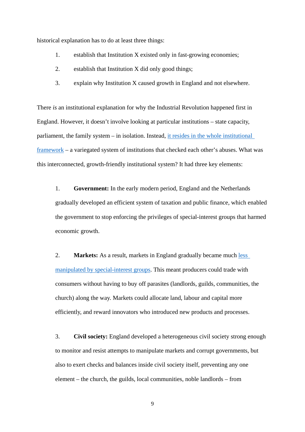historical explanation has to do at least three things:

- 1. establish that Institution X existed only in fast-growing economies;
- 2. establish that Institution X did only good things;
- 3. explain why Institution X caused growth in England and not elsewhere.

There *is* an institutional explanation for why the Industrial Revolution happened first in England. However, it doesn't involve looking at particular institutions – state capacity, parliament, the family system – in isolation. Instead, it resides in the whole institutional framework – a variegated system of institutions that checked each other's abuses. What was this interconnected, growth-friendly institutional system? It had three key elements:

1. **Government:** In the early modern period, England and the Netherlands gradually developed an efficient system of taxation and public finance, which enabled the government to stop enforcing the privileges of special-interest groups that harmed economic growth.

2. **Markets:** As a result, markets in England gradually became much [less](http://www.econ.cam.ac.uk/people-files/faculty/sco2/full-texts/Ogilvie-2000-The%20European%20economy.PDF)  [manipulated by special-interest groups.](http://www.econ.cam.ac.uk/people-files/faculty/sco2/full-texts/Ogilvie-2000-The%20European%20economy.PDF) This meant producers could trade with consumers without having to buy off parasites (landlords, guilds, communities, the church) along the way. Markets could allocate land, labour and capital more efficiently, and reward innovators who introduced new products and processes.

3. **Civil society:** England developed a heterogeneous civil society strong enough to monitor and resist attempts to manipulate markets and corrupt governments, but also to exert checks and balances inside civil society itself, preventing any one element – the church, the guilds, local communities, noble landlords – from